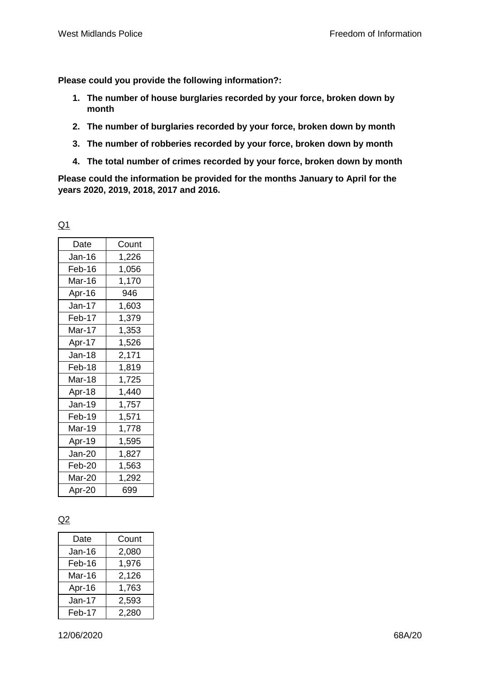**Please could you provide the following information?:**

- **1. The number of house burglaries recorded by your force, broken down by month**
- **2. The number of burglaries recorded by your force, broken down by month**
- **3. The number of robberies recorded by your force, broken down by month**
- **4. The total number of crimes recorded by your force, broken down by month**

**Please could the information be provided for the months January to April for the years 2020, 2019, 2018, 2017 and 2016.**

| I |  |
|---|--|
|   |  |

| Date          | Count |
|---------------|-------|
| Jan-16        | 1,226 |
| Feb-16        | 1,056 |
| Mar-16        | 1,170 |
| Apr-16        | 946   |
| Jan-17        | 1,603 |
| Feb-17        | 1,379 |
| Mar-17        | 1,353 |
| Apr-17        | 1,526 |
| <b>Jan-18</b> | 2,171 |
| Feb-18        | 1,819 |
| Mar-18        | 1,725 |
| Apr-18        | 1,440 |
| Jan-19        | 1,757 |
| Feb-19        | 1,571 |
| Mar-19        | 1,778 |
| Apr-19        | 1,595 |
| Jan-20        | 1,827 |
| Feb-20        | 1,563 |
| Mar-20        | 1,292 |
| Apr-20        | 699   |

## Q2

| Date   | Count |
|--------|-------|
| Jan-16 | 2,080 |
| Feb-16 | 1,976 |
| Mar-16 | 2,126 |
| Apr-16 | 1,763 |
| Jan-17 | 2,593 |
| Feb-17 | 2,280 |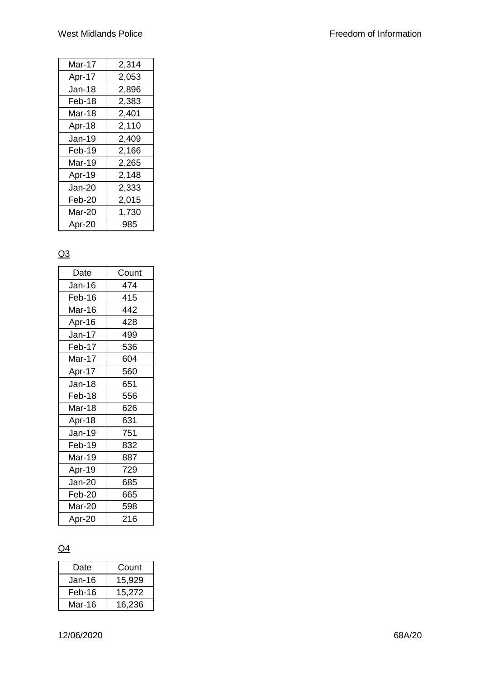| 2,314 |
|-------|
| 2,053 |
| 2,896 |
| 2,383 |
| 2,401 |
| 2,110 |
| 2,409 |
| 2,166 |
| 2,265 |
| 2,148 |
| 2,333 |
| 2,015 |
| 1,730 |
| 985   |
|       |

## $Q3$

| Date   | Count |
|--------|-------|
| Jan-16 | 474   |
| Feb-16 | 415   |
| Mar-16 | 442   |
| Apr-16 | 428   |
| Jan-17 | 499   |
| Feb-17 | 536   |
| Mar-17 | 604   |
| Apr-17 | 560   |
| Jan-18 | 651   |
| Feb-18 | 556   |
| Mar-18 | 626   |
| Apr-18 | 631   |
| Jan-19 | 751   |
| Feb-19 | 832   |
| Mar-19 | 887   |
| Apr-19 | 729   |
| Jan-20 | 685   |
| Feb-20 | 665   |
| Mar-20 | 598   |
| Apr-20 | 216   |

## $Q<sub>4</sub>$

| Date   | Count  |
|--------|--------|
| Jan-16 | 15,929 |
| Feb-16 | 15,272 |
| Mar-16 | 16,236 |